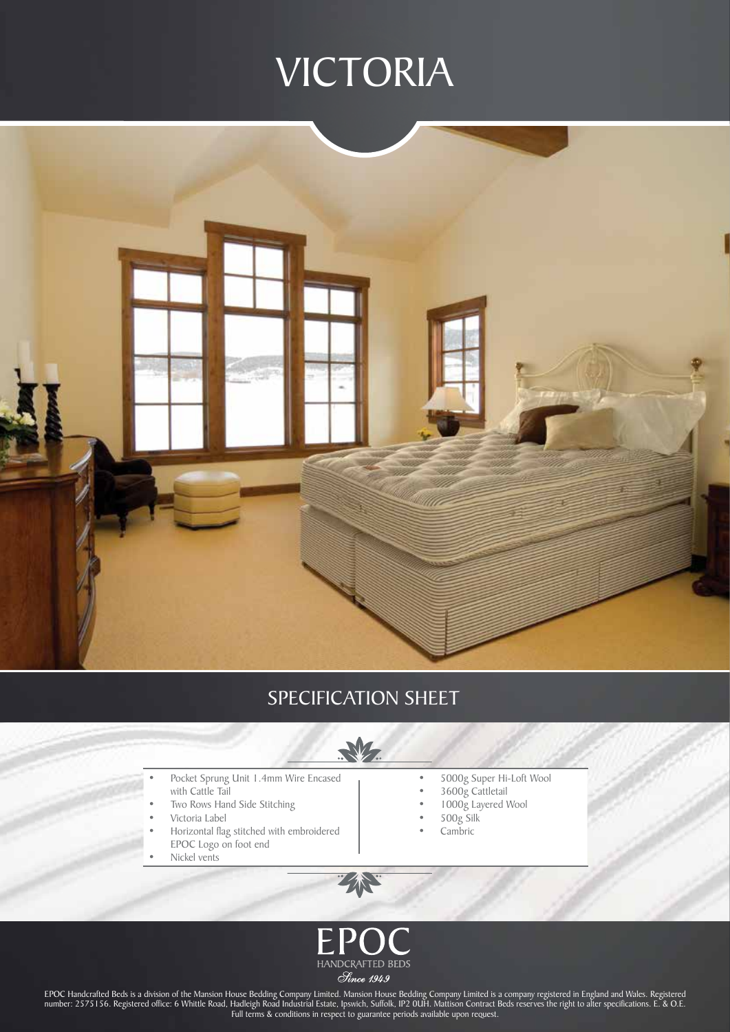## VICTORIA



### SPECIFICATION SHEET



- Pocket Sprung Unit 1.4mm Wire Encased with Cattle Tail
- Two Rows Hand Side Stitching
- Victoria Label
- Horizontal flag stitched with embroidered EPOC Logo on foot end
- Nickel vents
- • 5000g Super Hi-Loft Wool
- • 3600g Cattletail
- • 1000g Layered Wool
- • 500g Silk
- Cambric



Z

EPOC Handcrafted Beds is a division of the Mansion House Bedding Company Limited. Mansion House Bedding Company Limited is a company registered in England and Wales. Registered number: 2575156. Registered office: 6 Whittle Road, Hadleigh Road Industrial Estate, Ipswich, Suffolk, IP2 0UH. Mattison Contract Beds reserves the right to alter specifications. E. & O.E. Full terms & conditions in respect to guarantee periods available upon request.